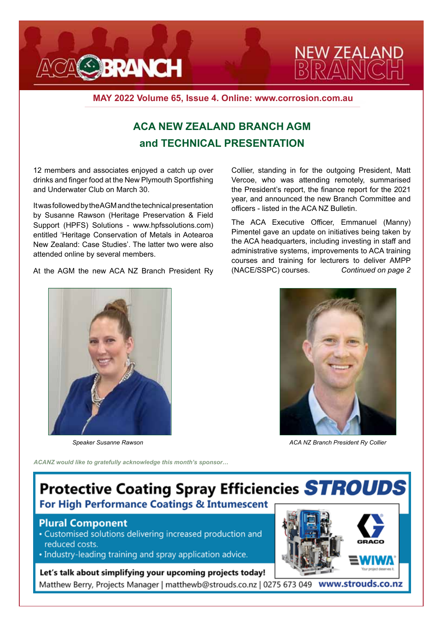



**MAY 2022 Volume 65, Issue 4. Online: www.corrosion.com.au**

## **ACA NEW ZEALAND BRANCH AGM and TECHNICAL PRESENTATION**

12 members and associates enjoyed a catch up over drinks and finger food at the New Plymouth Sportfishing and Underwater Club on March 30.

It was followed by the AGM and the technical presentation by Susanne Rawson (Heritage Preservation & Field Support (HPFS) Solutions - www.hpfssolutions.com) entitled 'Heritage Conservation of Metals in Aotearoa New Zealand: Case Studies'. The latter two were also attended online by several members.

At the AGM the new ACA NZ Branch President Ry

Collier, standing in for the outgoing President, Matt Vercoe, who was attending remotely, summarised the President's report, the finance report for the 2021 year, and announced the new Branch Committee and officers - listed in the ACA NZ Bulletin.

The ACA Executive Officer, Emmanuel (Manny) Pimentel gave an update on initiatives being taken by the ACA headquarters, including investing in staff and administrative systems, improvements to ACA training courses and training for lecturers to deliver AMPP (NACE/SSPC) courses. *Continued on page 2*



*Speaker Susanne Rawson* 



*ACA NZ Branch President Ry Collier*

*ACANZ would like to gratefully acknowledge this month's sponsor…*

# **Protective Coating Spray Efficiencies STROUDS** For High Performance Coatings & Intumescent

#### **Plural Component**

- Customised solutions delivering increased production and reduced costs.
- Industry-leading training and spray application advice.

#### Let's talk about simplifying your upcoming projects today!

Matthew Berry, Projects Manager | matthewb@strouds.co.nz | 0275 673 049 www.strouds.co.nz

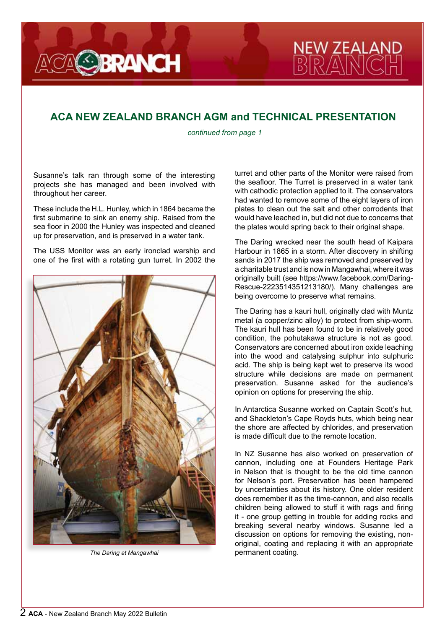

### **ACA NEW ZEALAND BRANCH AGM and TECHNICAL PRESENTATION**

*continued from page 1*

Susanne's talk ran through some of the interesting projects she has managed and been involved with throughout her career.

These include the H.L. Hunley, which in 1864 became the first submarine to sink an enemy ship. Raised from the sea floor in 2000 the Hunley was inspected and cleaned up for preservation, and is preserved in a water tank.

The USS Monitor was an early ironclad warship and one of the first with a rotating gun turret. In 2002 the



turret and other parts of the Monitor were raised from the seafloor. The Turret is preserved in a water tank with cathodic protection applied to it. The conservators had wanted to remove some of the eight layers of iron plates to clean out the salt and other corrodents that would have leached in, but did not due to concerns that the plates would spring back to their original shape.

**NEW ZEALA**<br>BRANIC

The Daring wrecked near the south head of Kaipara Harbour in 1865 in a storm. After discovery in shifting sands in 2017 the ship was removed and preserved by a charitable trust and is now in Mangawhai, where it was originally built (see https://www.facebook.com/Daring-Rescue-2223514351213180/). Many challenges are being overcome to preserve what remains.

The Daring has a kauri hull, originally clad with Muntz metal (a copper/zinc alloy) to protect from ship-worm. The kauri hull has been found to be in relatively good condition, the pohutakawa structure is not as good. Conservators are concerned about iron oxide leaching into the wood and catalysing sulphur into sulphuric acid. The ship is being kept wet to preserve its wood structure while decisions are made on permanent preservation. Susanne asked for the audience's opinion on options for preserving the ship.

In Antarctica Susanne worked on Captain Scott's hut, and Shackleton's Cape Royds huts, which being near the shore are affected by chlorides, and preservation is made difficult due to the remote location.

In NZ Susanne has also worked on preservation of cannon, including one at Founders Heritage Park in Nelson that is thought to be the old time cannon for Nelson's port. Preservation has been hampered by uncertainties about its history. One older resident does remember it as the time-cannon, and also recalls children being allowed to stuff it with rags and firing it - one group getting in trouble for adding rocks and breaking several nearby windows. Susanne led a discussion on options for removing the existing, nonoriginal, coating and replacing it with an appropriate *The Daring at Mangawhai COMPANER <b>PERIMANER permanent coating.*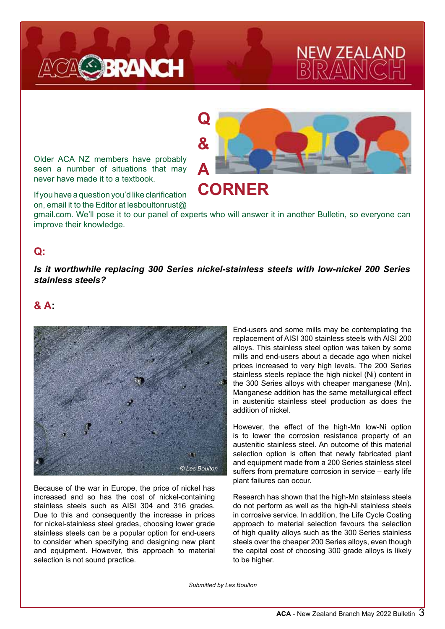

# ZEALA

Older ACA NZ members have probably seen a number of situations that may never have made it to a textbook.



**CORNER**

If you have a question you'd like clarification on, email it to the Editor at lesboultonrust@

gmail.com. We'll pose it to our panel of experts who will answer it in another Bulletin, so everyone can improve their knowledge.

### **Q:**

#### *Is it worthwhile replacing 300 Series nickel-stainless steels with low-nickel 200 Series stainless steels?*

#### **& A:**



Because of the war in Europe, the price of nickel has increased and so has the cost of nickel-containing stainless steels such as AISI 304 and 316 grades. Due to this and consequently the increase in prices for nickel-stainless steel grades, choosing lower grade stainless steels can be a popular option for end-users to consider when specifying and designing new plant and equipment. However, this approach to material selection is not sound practice.

End-users and some mills may be contemplating the replacement of AISI 300 stainless steels with AISI 200 alloys. This stainless steel option was taken by some mills and end-users about a decade ago when nickel prices increased to very high levels. The 200 Series stainless steels replace the high nickel (Ni) content in the 300 Series alloys with cheaper manganese (Mn). Manganese addition has the same metallurgical effect in austenitic stainless steel production as does the addition of nickel.

However, the effect of the high-Mn low-Ni option is to lower the corrosion resistance property of an austenitic stainless steel. An outcome of this material selection option is often that newly fabricated plant and equipment made from a 200 Series stainless steel suffers from premature corrosion in service – early life plant failures can occur.

Research has shown that the high-Mn stainless steels do not perform as well as the high-Ni stainless steels in corrosive service. In addition, the Life Cycle Costing approach to material selection favours the selection of high quality alloys such as the 300 Series stainless steels over the cheaper 200 Series alloys, even though the capital cost of choosing 300 grade alloys is likely to be higher.

*Submitted by Les Boulton*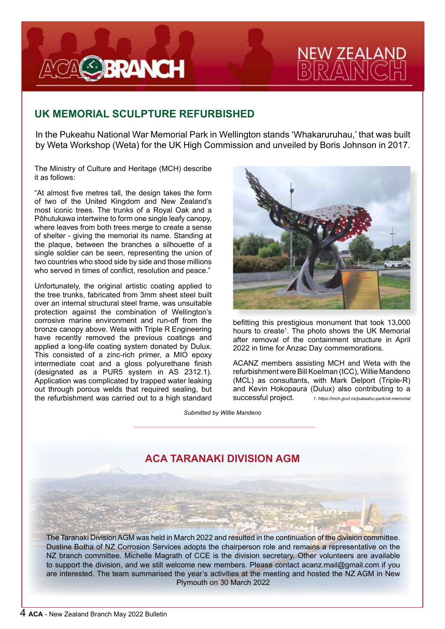

# ' ZEALA

## **UK MEMORIAL SCULPTURE REFURBISHED**

In the Pukeahu National War Memorial Park in Wellington stands 'Whakaruruhau,' that was built by Weta Workshop (Weta) for the UK High Commission and unveiled by Boris Johnson in 2017.

The Ministry of Culture and Heritage (MCH) describe it as follows:

"At almost five metres tall, the design takes the form of two of the United Kingdom and New Zealand's most iconic trees. The trunks of a Royal Oak and a Pōhutukawa intertwine to form one single leafy canopy, where leaves from both trees merge to create a sense of shelter - giving the memorial its name. Standing at the plaque, between the branches a silhouette of a single soldier can be seen, representing the union of two countries who stood side by side and those millions who served in times of conflict, resolution and peace."

Unfortunately, the original artistic coating applied to the tree trunks, fabricated from 3mm sheet steel built over an internal structural steel frame, was unsuitable protection against the combination of Wellington's corrosive marine environment and run-off from the bronze canopy above. Weta with Triple R Engineering have recently removed the previous coatings and applied a long-life coating system donated by Dulux. This consisted of a zinc-rich primer, a MIO epoxy intermediate coat and a gloss polyurethane finish (designated as a PUR5 system in AS 2312.1). Application was complicated by trapped water leaking out through porous welds that required sealing, but the refurbishment was carried out to a high standard



befitting this prestigious monument that took 13,000 hours to create<sup>1</sup>. The photo shows the UK Memorial after removal of the containment structure in April 2022 in time for Anzac Day commemorations.

ACANZ members assisting MCH and Weta with the refurbishment were Bill Koelman (ICC), Willie Mandeno (MCL) as consultants, with Mark Delport (Triple-R) and Kevin Hokopaura (Dulux) also contributing to a successful project. *1. https://mch.govt.nz/pukeahu-park/uk-memorial*

*Submitted by Willie Mandeno*

# **ACA TARANAKI DIVISION AGM**

The Taranaki Division AGM was held in March 2022 and resulted in the continuation of the division committee. Dustine Botha of NZ Corrosion Services adopts the chairperson role and remains a representative on the NZ branch committee. Michelle Magrath of CCE is the division secretary. Other volunteers are available to support the division, and we still welcome new members. Please contact acanz.mail@gmail.com if you are interested. The team summarised the year's activities at the meeting and hosted the NZ AGM in New Plymouth on 30 March 2022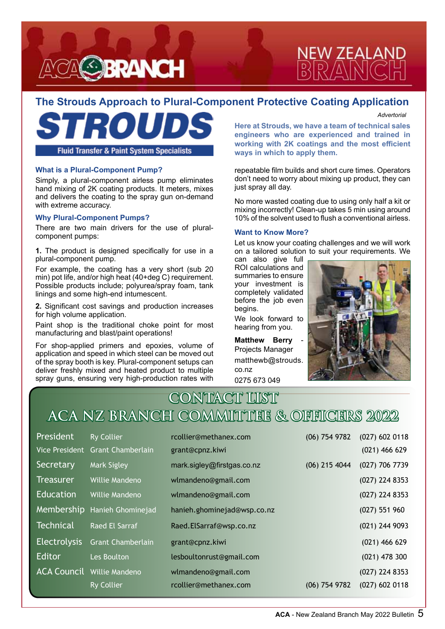



### **The Strouds Approach to Plural-Component Protective Coating Application**

*Advertorial*

**Fluid Transfer & Paint System Specialists** 

#### **What is a Plural-Component Pump?**

Simply, a plural-component airless pump eliminates hand mixing of 2K coating products. It meters, mixes and delivers the coating to the spray gun on-demand with extreme accuracy.

#### **Why Plural-Component Pumps?**

j

There are two main drivers for the use of pluralcomponent pumps:

**1.** The product is designed specifically for use in a plural-component pump.

For example, the coating has a very short (sub 20 min) pot life, and/or high heat (40+deg C) requirement. Possible products include; polyurea/spray foam, tank linings and some high-end intumescent.

**2.** Significant cost savings and production increases for high volume application.

Paint shop is the traditional choke point for most manufacturing and blast/paint operations!

For shop-applied primers and epoxies, volume of application and speed in which steel can be moved out of the spray booth is key. Plural-component setups can deliver freshly mixed and heated product to multiple spray guns, ensuring very high-production rates with

**Here at Strouds, we have a team of technical sales engineers who are experienced and trained in working with 2K coatings and the most efficient ways in which to apply them.**

repeatable film builds and short cure times. Operators don't need to worry about mixing up product, they can just spray all day.

No more wasted coating due to using only half a kit or mixing incorrectly! Clean-up takes 5 min using around 10% of the solvent used to flush a conventional airless.

#### **Want to Know More?**

Let us know your coating challenges and we will work on a tailored solution to suit your requirements. We

can also give full ROI calculations and summaries to ensure your investment is completely validated before the job even begins.

We look forward to hearing from you.

**Matthew Berry** Projects Manager matthewb@strouds. co.nz 0275 673 049



# **CONTACT LIST ACA NZ BRANCH COMMITTEE & OFFICERS 2022**

| <b>President</b>    | <b>Ry Collier</b>                 | rcollier@methanex.com       | $(06)$ 754 9782 | $(027)$ 602 0118 |
|---------------------|-----------------------------------|-----------------------------|-----------------|------------------|
|                     | Vice President Grant Chamberlain  | grant@cpnz.kiwi             |                 | $(021)$ 466 629  |
| Secretary           | <b>Mark Sigley</b>                | mark.sigley@firstgas.co.nz  | $(06)$ 215 4044 | (027) 706 7739   |
| <b>Treasurer</b>    | Willie Mandeno                    | wlmandeno@gmail.com         |                 | (027) 224 8353   |
| <b>Education</b>    | Willie Mandeno                    | wlmandeno@gmail.com         |                 | (027) 224 8353   |
|                     | Membership Hanieh Ghominejad      | hanieh.ghominejad@wsp.co.nz |                 | $(027)$ 551 960  |
| <b>Technical</b>    | <b>Raed El Sarraf</b>             | Raed.ElSarraf@wsp.co.nz     |                 | (021) 244 9093   |
| <b>Electrolysis</b> | <b>Grant Chamberlain</b>          | grant@cpnz.kiwi             |                 | $(021)$ 466 629  |
| Editor              | Les Boulton                       | lesboultonrust@gmail.com    |                 | $(021)$ 478 300  |
|                     | <b>ACA Council</b> Willie Mandeno | wlmandeno@gmail.com         |                 | (027) 224 8353   |
|                     | <b>Ry Collier</b>                 | rcollier@methanex.com       | $(06)$ 754 9782 | $(027)$ 602 0118 |
|                     |                                   |                             |                 |                  |